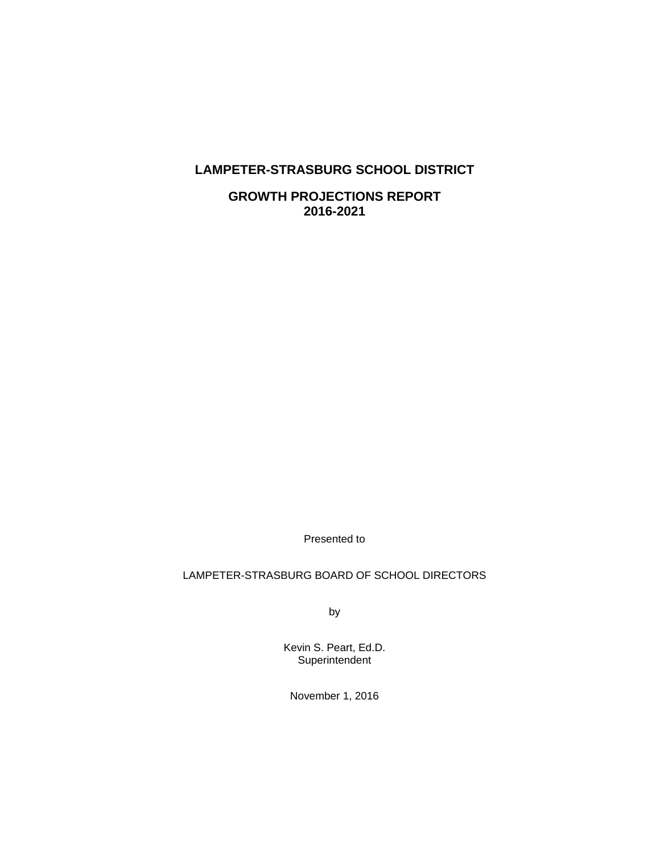## **LAMPETER-STRASBURG SCHOOL DISTRICT**

**GROWTH PROJECTIONS REPORT 2016-2021** 

Presented to

## LAMPETER-STRASBURG BOARD OF SCHOOL DIRECTORS

by

Kevin S. Peart, Ed.D. **Superintendent** 

November 1, 2016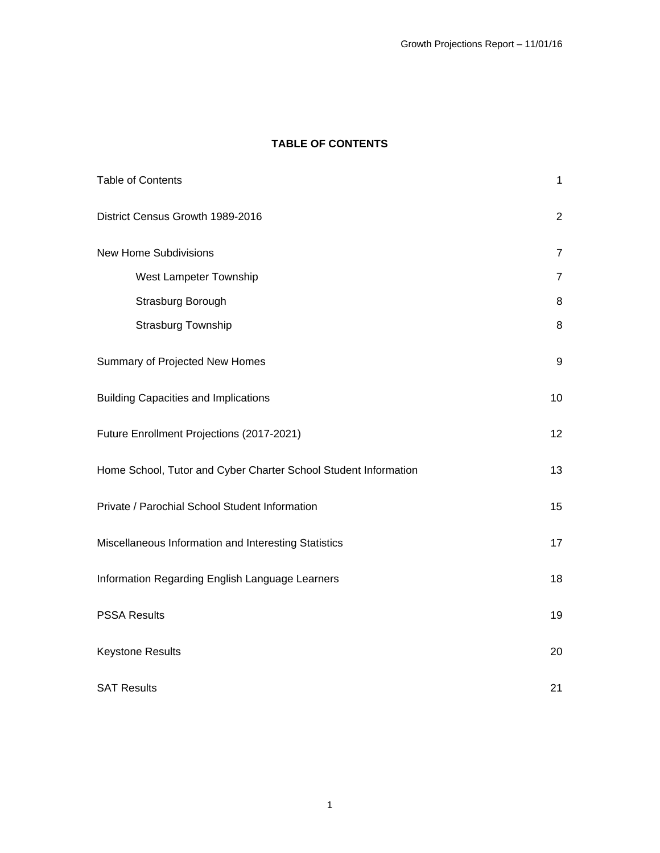## **TABLE OF CONTENTS**

| <b>Table of Contents</b>                                        | $\mathbf{1}$   |
|-----------------------------------------------------------------|----------------|
| District Census Growth 1989-2016                                | $\overline{2}$ |
| <b>New Home Subdivisions</b>                                    | $\overline{7}$ |
| West Lampeter Township                                          | $\overline{7}$ |
| Strasburg Borough                                               | $\, 8$         |
| Strasburg Township                                              | 8              |
| Summary of Projected New Homes                                  | $9\,$          |
| <b>Building Capacities and Implications</b>                     | 10             |
| Future Enrollment Projections (2017-2021)                       | 12             |
| Home School, Tutor and Cyber Charter School Student Information | 13             |
| Private / Parochial School Student Information                  | 15             |
| Miscellaneous Information and Interesting Statistics            | 17             |
| Information Regarding English Language Learners                 | 18             |
| <b>PSSA Results</b>                                             | 19             |
| <b>Keystone Results</b>                                         | 20             |
| <b>SAT Results</b>                                              | 21             |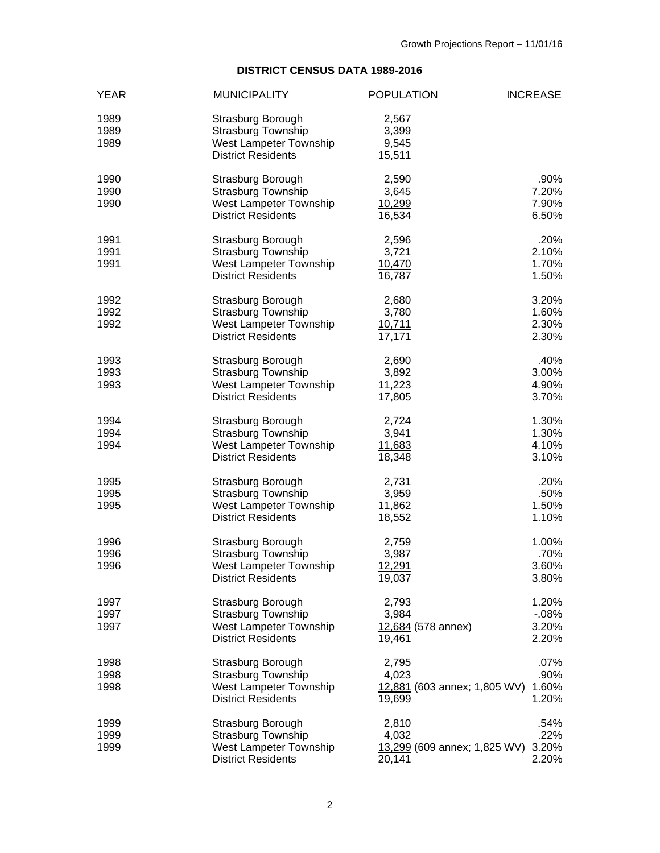# **DISTRICT CENSUS DATA 1989-2016**

| <b>YEAR</b> | <b>MUNICIPALITY</b>       | <b>POPULATION</b>            | <b>INCREASE</b> |
|-------------|---------------------------|------------------------------|-----------------|
|             |                           |                              |                 |
| 1989        | Strasburg Borough         | 2,567                        |                 |
| 1989        | Strasburg Township        | 3,399                        |                 |
| 1989        | West Lampeter Township    | 9,545                        |                 |
|             | <b>District Residents</b> | 15,511                       |                 |
| 1990        | Strasburg Borough         | 2,590                        | .90%            |
| 1990        | <b>Strasburg Township</b> | 3,645                        | 7.20%           |
| 1990        | West Lampeter Township    | 10,299                       | 7.90%           |
|             | <b>District Residents</b> | 16,534                       | 6.50%           |
| 1991        | Strasburg Borough         | 2,596                        | .20%            |
| 1991        | <b>Strasburg Township</b> | 3,721                        | 2.10%           |
| 1991        | West Lampeter Township    | 10,470                       | 1.70%           |
|             | <b>District Residents</b> | 16,787                       | 1.50%           |
|             |                           |                              |                 |
| 1992        | Strasburg Borough         | 2,680                        | 3.20%           |
| 1992        | <b>Strasburg Township</b> | 3,780                        | 1.60%           |
| 1992        | West Lampeter Township    | 10,711                       | 2.30%           |
|             | <b>District Residents</b> | 17,171                       | 2.30%           |
| 1993        | Strasburg Borough         | 2,690                        | .40%            |
| 1993        | <b>Strasburg Township</b> | 3,892                        | 3.00%           |
| 1993        | West Lampeter Township    | 11,223                       | 4.90%           |
|             | <b>District Residents</b> | 17,805                       | 3.70%           |
| 1994        | Strasburg Borough         | 2,724                        | 1.30%           |
| 1994        | <b>Strasburg Township</b> | 3,941                        | 1.30%           |
| 1994        | West Lampeter Township    | 11,683                       | 4.10%           |
|             | <b>District Residents</b> | 18,348                       | 3.10%           |
|             |                           |                              |                 |
| 1995        | Strasburg Borough         | 2,731                        | .20%            |
| 1995        | <b>Strasburg Township</b> | 3,959                        | .50%            |
| 1995        | West Lampeter Township    | 11,862                       | 1.50%           |
|             | <b>District Residents</b> | 18,552                       | 1.10%           |
| 1996        | Strasburg Borough         | 2,759                        | 1.00%           |
| 1996        | <b>Strasburg Township</b> | 3,987                        | .70%            |
| 1996        | West Lampeter Township    | 12,291                       | 3.60%           |
|             | <b>District Residents</b> | 19,037                       | 3.80%           |
| 1997        | Strasburg Borough         | 2,793                        | 1.20%           |
| 1997        | <b>Strasburg Township</b> | 3,984                        | $-08%$          |
| 1997        | West Lampeter Township    | 12,684 (578 annex)           | 3.20%           |
|             | <b>District Residents</b> | 19,461                       | 2.20%           |
| 1998        | Strasburg Borough         | 2,795                        | $.07\%$         |
| 1998        | <b>Strasburg Township</b> | 4,023                        | .90%            |
| 1998        | West Lampeter Township    |                              | 1.60%           |
|             |                           | 12,881 (603 annex; 1,805 WV) |                 |
|             | <b>District Residents</b> | 19,699                       | 1.20%           |
| 1999        | Strasburg Borough         | 2,810                        | .54%            |
| 1999        | Strasburg Township        | 4,032                        | .22%            |
| 1999        | West Lampeter Township    | 13,299 (609 annex; 1,825 WV) | 3.20%           |
|             | <b>District Residents</b> | 20,141                       | 2.20%           |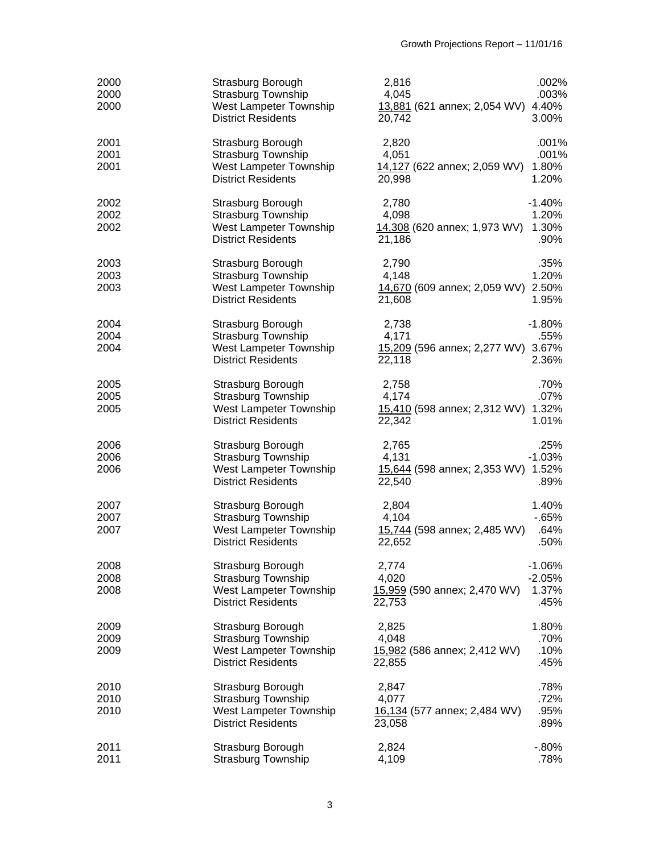| 2000<br>2000<br>2000 | Strasburg Borough<br><b>Strasburg Township</b><br>West Lampeter Township<br><b>District Residents</b> | 2,816<br>4,045<br>13,881 (621 annex; 2,054 WV) 4.40%<br>20,742 | .002%<br>.003%<br>3.00%               |
|----------------------|-------------------------------------------------------------------------------------------------------|----------------------------------------------------------------|---------------------------------------|
| 2001<br>2001<br>2001 | Strasburg Borough<br><b>Strasburg Township</b><br>West Lampeter Township<br><b>District Residents</b> | 2,820<br>4,051<br>14,127 (622 annex; 2,059 WV)<br>20,998       | .001%<br>.001%<br>1.80%<br>1.20%      |
| 2002<br>2002<br>2002 | Strasburg Borough<br><b>Strasburg Township</b><br>West Lampeter Township<br><b>District Residents</b> | 2,780<br>4,098<br>14,308 (620 annex; 1,973 WV)<br>21,186       | $-1.40%$<br>1.20%<br>1.30%<br>.90%    |
| 2003<br>2003<br>2003 | Strasburg Borough<br><b>Strasburg Township</b><br>West Lampeter Township<br><b>District Residents</b> | 2,790<br>4,148<br>14,670 (609 annex; 2,059 WV) 2.50%<br>21,608 | .35%<br>1.20%<br>1.95%                |
| 2004<br>2004<br>2004 | Strasburg Borough<br><b>Strasburg Township</b><br>West Lampeter Township<br><b>District Residents</b> | 2,738<br>4,171<br>15,209 (596 annex; 2,277 WV) 3.67%<br>22,118 | $-1.80%$<br>.55%<br>2.36%             |
| 2005<br>2005<br>2005 | Strasburg Borough<br><b>Strasburg Township</b><br>West Lampeter Township<br><b>District Residents</b> | 2,758<br>4,174<br>15,410 (598 annex; 2,312 WV) 1.32%<br>22,342 | .70%<br>.07%<br>1.01%                 |
| 2006<br>2006<br>2006 | Strasburg Borough<br>Strasburg Township<br>West Lampeter Township<br><b>District Residents</b>        | 2,765<br>4,131<br>15,644 (598 annex; 2,353 WV) 1.52%<br>22,540 | .25%<br>$-1.03%$<br>.89%              |
| 2007<br>2007<br>2007 | Strasburg Borough<br>Strasburg Township<br>West Lampeter Township<br><b>District Residents</b>        | 2,804<br>4,104<br>15,744 (598 annex; 2,485 WV)<br>22,652       | 1.40%<br>$-65%$<br>.64%<br>.50%       |
| 2008<br>2008<br>2008 | Strasburg Borough<br><b>Strasburg Township</b><br>West Lampeter Township<br><b>District Residents</b> | 2,774<br>4,020<br>15,959 (590 annex; 2,470 WV)<br>22,753       | $-1.06%$<br>$-2.05%$<br>1.37%<br>.45% |
| 2009<br>2009<br>2009 | Strasburg Borough<br><b>Strasburg Township</b><br>West Lampeter Township<br><b>District Residents</b> | 2,825<br>4,048<br>15,982 (586 annex; 2,412 WV)<br>22,855       | 1.80%<br>.70%<br>.10%<br>.45%         |
| 2010<br>2010<br>2010 | Strasburg Borough<br><b>Strasburg Township</b><br>West Lampeter Township<br><b>District Residents</b> | 2,847<br>4,077<br>16,134 (577 annex; 2,484 WV)<br>23,058       | .78%<br>.72%<br>.95%<br>.89%          |
| 2011<br>2011         | Strasburg Borough<br>Strasburg Township                                                               | 2,824<br>4,109                                                 | $-0.80%$<br>.78%                      |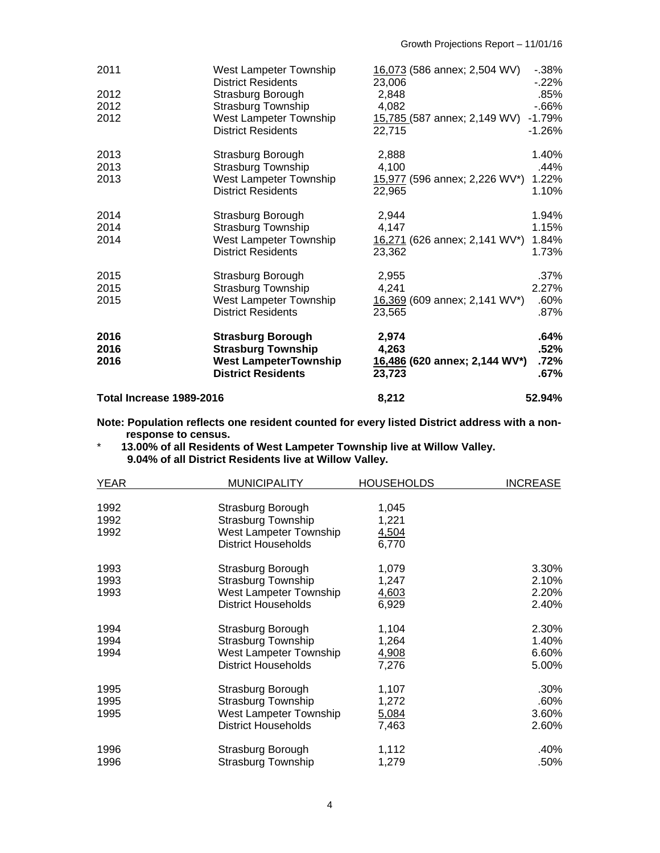| 2011                     | West Lampeter Township<br><b>District Residents</b> | 16,073 (586 annex; 2,504 WV)<br>23,006 | $-0.38%$<br>$-22\%$ |
|--------------------------|-----------------------------------------------------|----------------------------------------|---------------------|
| 2012                     | Strasburg Borough                                   | 2,848                                  | .85%                |
| 2012                     | <b>Strasburg Township</b>                           | 4,082                                  | $-66%$              |
| 2012                     | West Lampeter Township                              |                                        | $-1.79%$            |
|                          | <b>District Residents</b>                           | 15,785 (587 annex; 2,149 WV)<br>22,715 | $-1.26%$            |
| 2013                     | Strasburg Borough                                   | 2,888                                  | 1.40%               |
| 2013                     | <b>Strasburg Township</b>                           | 4,100                                  | .44%                |
| 2013                     | West Lampeter Township                              | 15,977 (596 annex; 2,226 WV*)          | 1.22%               |
|                          | <b>District Residents</b>                           | 22,965                                 | 1.10%               |
| 2014                     | Strasburg Borough                                   | 2,944                                  | 1.94%               |
| 2014                     | <b>Strasburg Township</b>                           | 4,147                                  | 1.15%               |
| 2014                     | West Lampeter Township                              | 16,271 (626 annex; 2,141 WV*)          | 1.84%               |
|                          | <b>District Residents</b>                           | 23,362                                 | 1.73%               |
| 2015                     | Strasburg Borough                                   | 2,955                                  | $.37\%$             |
| 2015                     | <b>Strasburg Township</b>                           | 4,241                                  | 2.27%               |
| 2015                     | West Lampeter Township                              | 16,369 (609 annex; 2,141 WV*)          | .60%                |
|                          | <b>District Residents</b>                           | 23,565                                 | .87%                |
| 2016                     | <b>Strasburg Borough</b>                            | 2,974                                  | .64%                |
| 2016                     | <b>Strasburg Township</b>                           | 4,263                                  | .52%                |
| 2016                     | <b>West LampeterTownship</b>                        | 16,486 (620 annex; 2,144 WV*)          | .72%                |
|                          | <b>District Residents</b>                           | 23,723                                 | $.67\%$             |
| Total Increase 1989-2016 |                                                     | 8,212                                  | 52.94%              |

**Note: Population reflects one resident counted for every listed District address with a nonresponse to census.** 

\* **13.00% of all Residents of West Lampeter Township live at Willow Valley. 9.04% of all District Residents live at Willow Valley.** 

| <b>YEAR</b>          | <b>MUNICIPALITY</b>                                                      | <b>HOUSEHOLDS</b>       | <u>INCREASE</u> |
|----------------------|--------------------------------------------------------------------------|-------------------------|-----------------|
| 1992<br>1992<br>1992 | Strasburg Borough<br><b>Strasburg Township</b><br>West Lampeter Township | 1,045<br>1,221<br>4,504 |                 |
|                      | <b>District Households</b>                                               | 6,770                   |                 |
| 1993                 | Strasburg Borough                                                        | 1,079                   | 3.30%           |
| 1993                 | Strasburg Township                                                       | 1,247                   | 2.10%           |
| 1993                 | West Lampeter Township                                                   | 4,603                   | 2.20%           |
|                      | <b>District Households</b>                                               | 6,929                   | 2.40%           |
| 1994                 | Strasburg Borough                                                        | 1,104                   | 2.30%           |
| 1994                 | <b>Strasburg Township</b>                                                | 1,264                   | 1.40%           |
| 1994                 | West Lampeter Township                                                   | 4,908                   | 6.60%           |
|                      | <b>District Households</b>                                               | 7,276                   | 5.00%           |
| 1995                 | Strasburg Borough                                                        | 1,107                   | .30%            |
| 1995                 | <b>Strasburg Township</b>                                                | 1,272                   | .60%            |
| 1995                 | West Lampeter Township                                                   | 5,084                   | 3.60%           |
|                      | <b>District Households</b>                                               | 7,463                   | 2.60%           |
| 1996                 | Strasburg Borough                                                        | 1,112                   | .40%            |
| 1996                 | Strasburg Township                                                       | 1,279                   | .50%            |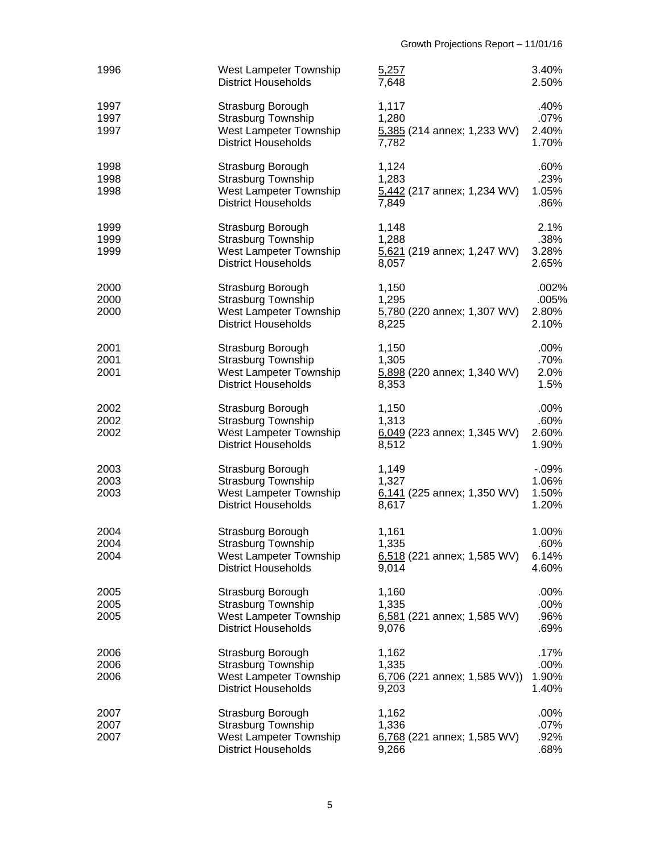| 1996                 | West Lampeter Township<br><b>District Households</b>                                                   | 5,257<br>7,648                                           | 3.40%<br>2.50%                      |
|----------------------|--------------------------------------------------------------------------------------------------------|----------------------------------------------------------|-------------------------------------|
| 1997<br>1997<br>1997 | Strasburg Borough<br><b>Strasburg Township</b><br>West Lampeter Township<br><b>District Households</b> | 1,117<br>1,280<br>5,385 (214 annex; 1,233 WV)<br>7,782   | .40%<br>.07%<br>2.40%<br>1.70%      |
| 1998<br>1998<br>1998 | Strasburg Borough<br><b>Strasburg Township</b><br>West Lampeter Township<br><b>District Households</b> | 1,124<br>1,283<br>5,442 (217 annex; 1,234 WV)<br>7,849   | .60%<br>.23%<br>1.05%<br>.86%       |
| 1999<br>1999<br>1999 | Strasburg Borough<br>Strasburg Township<br>West Lampeter Township<br><b>District Households</b>        | 1,148<br>1,288<br>5,621 (219 annex; 1,247 WV)<br>8,057   | 2.1%<br>.38%<br>3.28%<br>2.65%      |
| 2000<br>2000<br>2000 | Strasburg Borough<br><b>Strasburg Township</b><br>West Lampeter Township<br><b>District Households</b> | 1,150<br>1,295<br>5,780 (220 annex; 1,307 WV)<br>8,225   | .002%<br>.005%<br>2.80%<br>2.10%    |
| 2001<br>2001<br>2001 | Strasburg Borough<br><b>Strasburg Township</b><br>West Lampeter Township<br><b>District Households</b> | 1,150<br>1,305<br>5,898 (220 annex; 1,340 WV)<br>8,353   | $.00\%$<br>.70%<br>2.0%<br>1.5%     |
| 2002<br>2002<br>2002 | Strasburg Borough<br>Strasburg Township<br>West Lampeter Township<br><b>District Households</b>        | 1,150<br>1,313<br>6,049 (223 annex; 1,345 WV)<br>8,512   | .00%<br>.60%<br>2.60%<br>1.90%      |
| 2003<br>2003<br>2003 | Strasburg Borough<br><b>Strasburg Township</b><br>West Lampeter Township<br><b>District Households</b> | 1,149<br>1,327<br>6,141 (225 annex; 1,350 WV)<br>8,617   | $-0.09%$<br>1.06%<br>1.50%<br>1.20% |
| 2004<br>2004<br>2004 | Strasburg Borough<br>Strasburg Township<br>West Lampeter Township<br><b>District Households</b>        | 1,161<br>1,335<br>6,518 (221 annex; 1,585 WV)<br>9,014   | 1.00%<br>.60%<br>6.14%<br>4.60%     |
| 2005<br>2005<br>2005 | Strasburg Borough<br><b>Strasburg Township</b><br>West Lampeter Township<br><b>District Households</b> | 1,160<br>1,335<br>$6,581$ (221 annex; 1,585 WV)<br>9,076 | .00%<br>.00%<br>.96%<br>.69%        |
| 2006<br>2006<br>2006 | Strasburg Borough<br><b>Strasburg Township</b><br>West Lampeter Township<br><b>District Households</b> | 1,162<br>1,335<br>6,706 (221 annex; 1,585 WV))<br>9,203  | .17%<br>.00%<br>1.90%<br>1.40%      |
| 2007<br>2007<br>2007 | Strasburg Borough<br><b>Strasburg Township</b><br>West Lampeter Township<br><b>District Households</b> | 1,162<br>1,336<br>6,768 (221 annex; 1,585 WV)<br>9,266   | .00%<br>.07%<br>.92%<br>.68%        |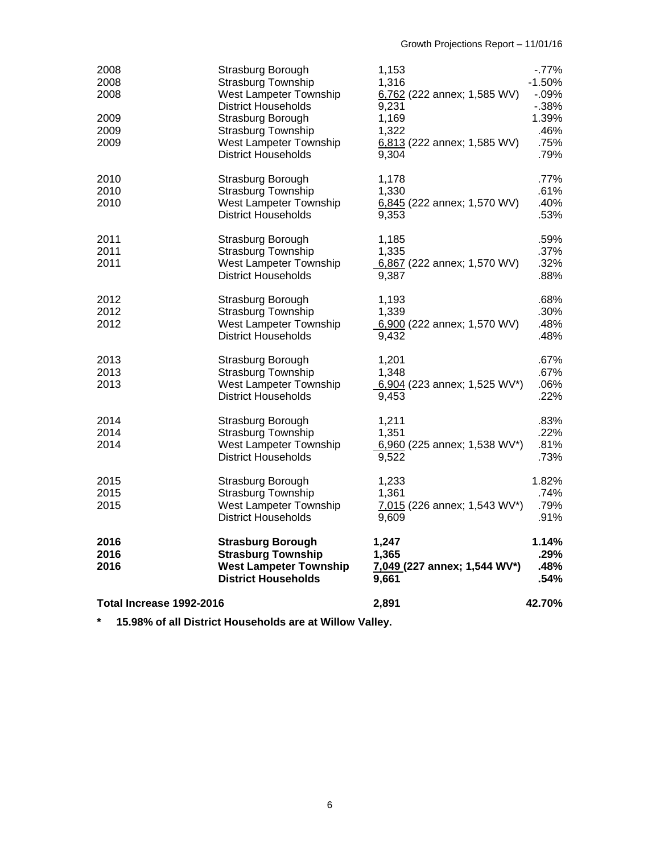| 2008<br>2008<br>2008<br>2009<br>2009<br>2009 | Strasburg Borough<br><b>Strasburg Township</b><br>West Lampeter Township<br><b>District Households</b><br>Strasburg Borough<br><b>Strasburg Township</b><br>West Lampeter Township<br><b>District Households</b> | 1,153<br>1,316<br>6,762 (222 annex; 1,585 WV)<br>9,231<br>1,169<br>1,322<br>6,813 (222 annex; 1,585 WV)<br>9,304 | $-77%$<br>$-1.50%$<br>$-0.09%$<br>$-0.38%$<br>1.39%<br>.46%<br>.75%<br>.79% |
|----------------------------------------------|------------------------------------------------------------------------------------------------------------------------------------------------------------------------------------------------------------------|------------------------------------------------------------------------------------------------------------------|-----------------------------------------------------------------------------|
| 2010<br>2010<br>2010                         | Strasburg Borough<br><b>Strasburg Township</b><br>West Lampeter Township<br><b>District Households</b>                                                                                                           | 1,178<br>1,330<br>6,845 (222 annex; 1,570 WV)<br>9,353                                                           | .77%<br>.61%<br>.40%<br>.53%                                                |
| 2011<br>2011<br>2011                         | Strasburg Borough<br><b>Strasburg Township</b><br>West Lampeter Township<br><b>District Households</b>                                                                                                           | 1,185<br>1,335<br>6,867 (222 annex; 1,570 WV)<br>9.387                                                           | .59%<br>.37%<br>.32%<br>.88%                                                |
| 2012<br>2012<br>2012                         | Strasburg Borough<br><b>Strasburg Township</b><br>West Lampeter Township<br><b>District Households</b>                                                                                                           | 1,193<br>1,339<br>6,900 (222 annex; 1,570 WV)<br>9,432                                                           | .68%<br>.30%<br>.48%<br>.48%                                                |
| 2013<br>2013<br>2013                         | Strasburg Borough<br><b>Strasburg Township</b><br>West Lampeter Township<br><b>District Households</b>                                                                                                           | 1,201<br>1,348<br>6,904 (223 annex; 1,525 WV*)<br>9,453                                                          | .67%<br>.67%<br>.06%<br>.22%                                                |
| 2014<br>2014<br>2014                         | Strasburg Borough<br><b>Strasburg Township</b><br>West Lampeter Township<br><b>District Households</b>                                                                                                           | 1,211<br>1,351<br>6,960 (225 annex; 1,538 WV*)<br>9,522                                                          | .83%<br>.22%<br>.81%<br>.73%                                                |
| 2015<br>2015<br>2015                         | Strasburg Borough<br>Strasburg Township<br>West Lampeter Township<br><b>District Households</b>                                                                                                                  | 1,233<br>1,361<br>7,015 (226 annex; 1,543 WV*)<br>9,609                                                          | 1.82%<br>.74%<br>.79%<br>.91%                                               |
| 2016<br>2016<br>2016                         | <b>Strasburg Borough</b><br><b>Strasburg Township</b><br><b>West Lampeter Township</b><br><b>District Households</b>                                                                                             | 1,247<br>1,365<br>7,049 (227 annex; 1,544 WV*)<br>9,661                                                          | 1.14%<br>.29%<br>.48%<br>.54%                                               |
| Total Increase 1992-2016                     |                                                                                                                                                                                                                  | 2,891                                                                                                            | 42.70%                                                                      |

**\* 15.98% of all District Households are at Willow Valley.**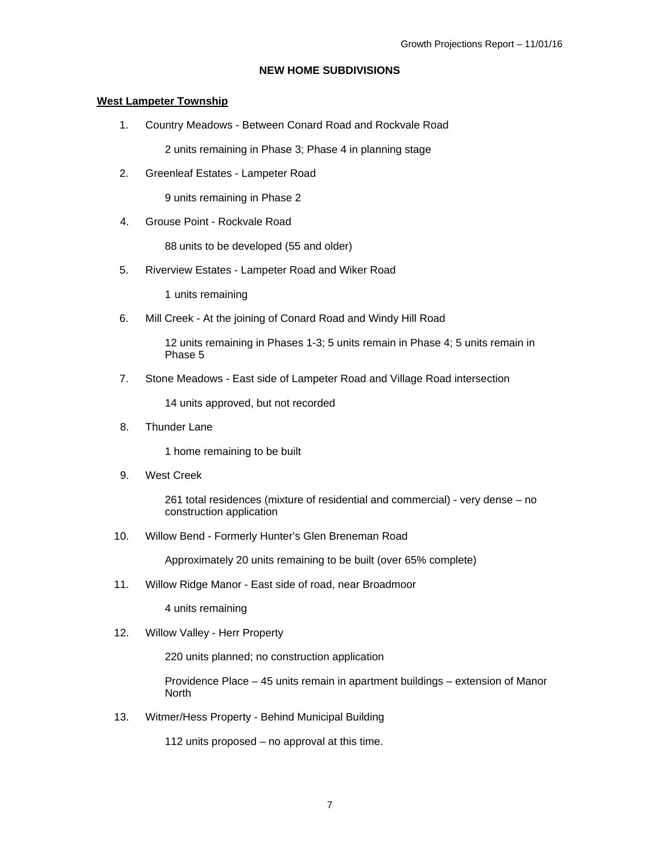### **NEW HOME SUBDIVISIONS**

#### **West Lampeter Township**

1. Country Meadows - Between Conard Road and Rockvale Road

2 units remaining in Phase 3; Phase 4 in planning stage

2. Greenleaf Estates - Lampeter Road

9 units remaining in Phase 2

4. Grouse Point - Rockvale Road

88 units to be developed (55 and older)

5. Riverview Estates - Lampeter Road and Wiker Road

1 units remaining

6. Mill Creek - At the joining of Conard Road and Windy Hill Road

12 units remaining in Phases 1-3; 5 units remain in Phase 4; 5 units remain in Phase 5

7. Stone Meadows - East side of Lampeter Road and Village Road intersection

14 units approved, but not recorded

8. Thunder Lane

1 home remaining to be built

9. West Creek

261 total residences (mixture of residential and commercial) - very dense – no construction application

10. Willow Bend - Formerly Hunter's Glen Breneman Road

Approximately 20 units remaining to be built (over 65% complete)

11. Willow Ridge Manor - East side of road, near Broadmoor

4 units remaining

12. Willow Valley - Herr Property

220 units planned; no construction application

Providence Place – 45 units remain in apartment buildings – extension of Manor North

13. Witmer/Hess Property - Behind Municipal Building

112 units proposed – no approval at this time.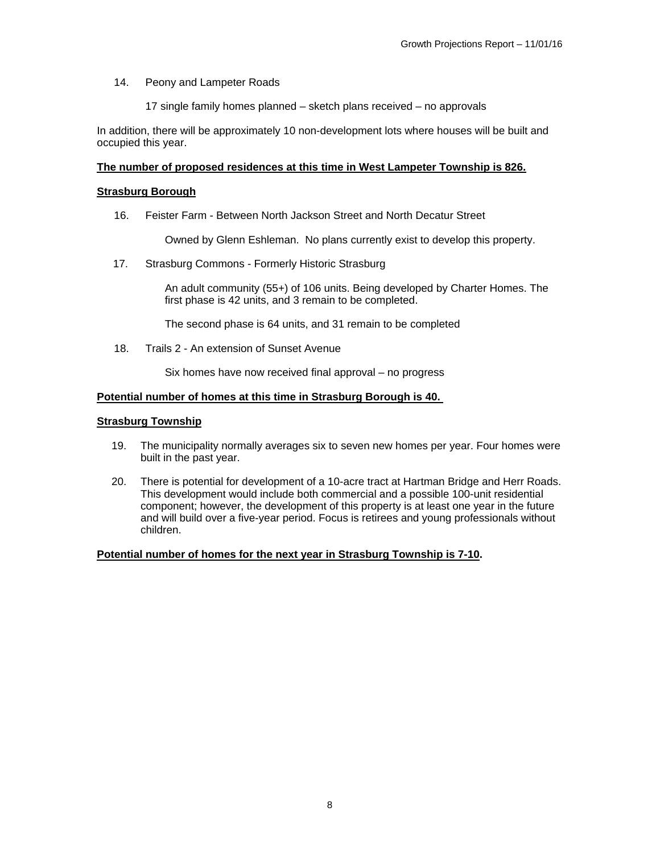#### 14. Peony and Lampeter Roads

17 single family homes planned – sketch plans received – no approvals

In addition, there will be approximately 10 non-development lots where houses will be built and occupied this year.

#### **The number of proposed residences at this time in West Lampeter Township is 826.**

### **Strasburg Borough**

16. Feister Farm - Between North Jackson Street and North Decatur Street

Owned by Glenn Eshleman. No plans currently exist to develop this property.

17. Strasburg Commons - Formerly Historic Strasburg

An adult community (55+) of 106 units. Being developed by Charter Homes. The first phase is 42 units, and 3 remain to be completed.

The second phase is 64 units, and 31 remain to be completed

18. Trails 2 - An extension of Sunset Avenue

Six homes have now received final approval – no progress

### **Potential number of homes at this time in Strasburg Borough is 40.**

#### **Strasburg Township**

- 19. The municipality normally averages six to seven new homes per year. Four homes were built in the past year.
- 20. There is potential for development of a 10-acre tract at Hartman Bridge and Herr Roads. This development would include both commercial and a possible 100-unit residential component; however, the development of this property is at least one year in the future and will build over a five-year period. Focus is retirees and young professionals without children.

#### **Potential number of homes for the next year in Strasburg Township is 7-10.**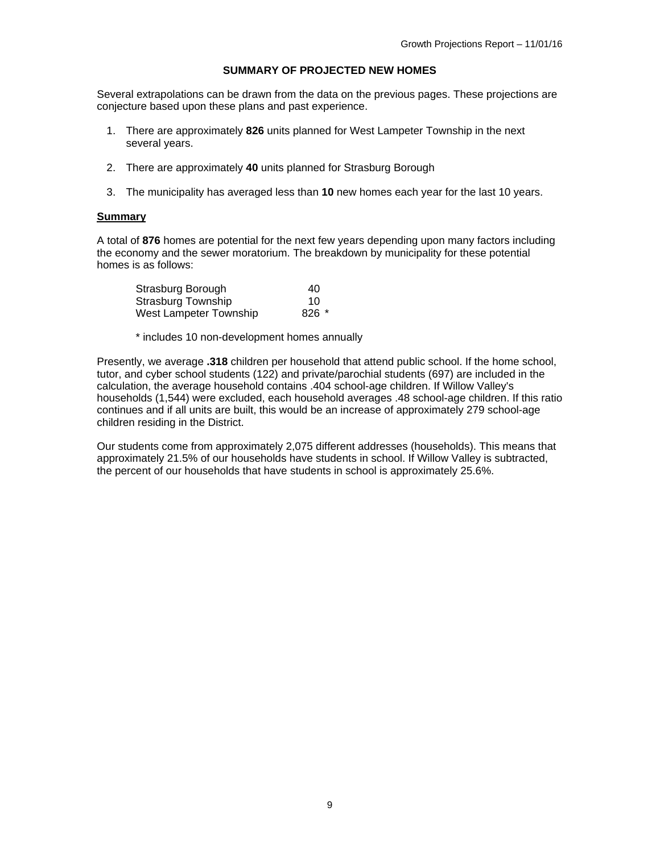### **SUMMARY OF PROJECTED NEW HOMES**

Several extrapolations can be drawn from the data on the previous pages. These projections are conjecture based upon these plans and past experience.

- 1. There are approximately **826** units planned for West Lampeter Township in the next several years.
- 2. There are approximately **40** units planned for Strasburg Borough
- 3. The municipality has averaged less than **10** new homes each year for the last 10 years.

#### **Summary**

A total of **876** homes are potential for the next few years depending upon many factors including the economy and the sewer moratorium. The breakdown by municipality for these potential homes is as follows:

| Strasburg Borough         | 40      |
|---------------------------|---------|
| <b>Strasburg Township</b> | 10      |
| West Lampeter Township    | $826$ * |

\* includes 10 non-development homes annually

Presently, we average **.318** children per household that attend public school. If the home school, tutor, and cyber school students (122) and private/parochial students (697) are included in the calculation, the average household contains .404 school-age children. If Willow Valley's households (1,544) were excluded, each household averages .48 school-age children. If this ratio continues and if all units are built, this would be an increase of approximately 279 school-age children residing in the District.

Our students come from approximately 2,075 different addresses (households). This means that approximately 21.5% of our households have students in school. If Willow Valley is subtracted, the percent of our households that have students in school is approximately 25.6%.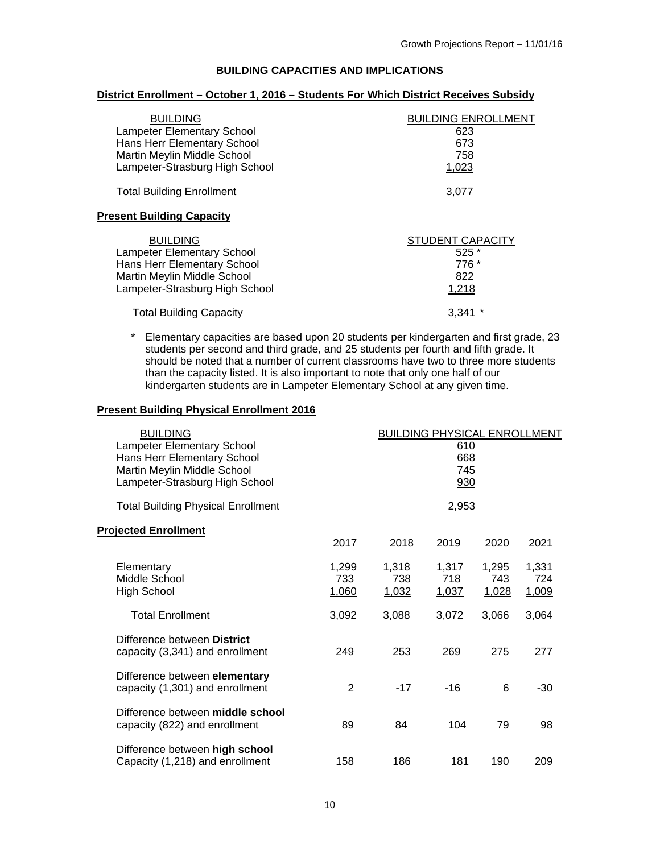### **BUILDING CAPACITIES AND IMPLICATIONS**

### **District Enrollment – October 1, 2016 – Students For Which District Receives Subsidy**

| <b>BUILDING</b><br><b>Lampeter Elementary School</b><br>Hans Herr Elementary School<br>Martin Meylin Middle School<br>Lampeter-Strasburg High School | <b>BUILDING ENROLLMENT</b><br>623<br>673<br>758<br>1,023 |
|------------------------------------------------------------------------------------------------------------------------------------------------------|----------------------------------------------------------|
| <b>Total Building Enrollment</b>                                                                                                                     | 3.077                                                    |
| <b>Present Building Capacity</b>                                                                                                                     |                                                          |
| <b>BUILDING</b><br><b>Lampeter Elementary School</b><br>Hans Herr Elementary School<br>Martin Meylin Middle School<br>Lampeter-Strasburg High School | STUDENT CAPACITY<br>$525*$<br>776 *<br>822<br>1,218      |
| <b>Total Building Capacity</b>                                                                                                                       | 3.341                                                    |

\* Elementary capacities are based upon 20 students per kindergarten and first grade, 23 students per second and third grade, and 25 students per fourth and fifth grade. It should be noted that a number of current classrooms have two to three more students than the capacity listed. It is also important to note that only one half of our kindergarten students are in Lampeter Elementary School at any given time.

#### **Present Building Physical Enrollment 2016**

| <b>BUILDING</b><br><b>BUILDING PHYSICAL ENROLLMENT</b><br><b>Lampeter Elementary School</b><br>610<br>Hans Herr Elementary School<br>668<br>Martin Meylin Middle School<br>745<br>Lampeter-Strasburg High School<br>930 |                       |                       |                       |                              |                       |  |
|-------------------------------------------------------------------------------------------------------------------------------------------------------------------------------------------------------------------------|-----------------------|-----------------------|-----------------------|------------------------------|-----------------------|--|
| <b>Total Building Physical Enrollment</b><br><b>Projected Enrollment</b>                                                                                                                                                | 2017                  | 2018                  | 2,953<br>2019         | 2020                         | 2021                  |  |
| Elementary<br>Middle School<br><b>High School</b>                                                                                                                                                                       | 1,299<br>733<br>1,060 | 1,318<br>738<br>1,032 | 1,317<br>718<br>1,037 | 1,295<br>743<br><u>1,028</u> | 1,331<br>724<br>1,009 |  |
| <b>Total Enrollment</b>                                                                                                                                                                                                 | 3,092                 | 3,088                 | 3,072                 | 3,066                        | 3,064                 |  |
| Difference between District<br>capacity (3,341) and enrollment                                                                                                                                                          | 249                   | 253                   | 269                   | 275                          | 277                   |  |
| Difference between elementary<br>capacity (1,301) and enrollment                                                                                                                                                        | $\overline{2}$        | $-17$                 | $-16$                 | 6                            | -30                   |  |
| Difference between middle school<br>capacity (822) and enrollment                                                                                                                                                       | 89                    | 84                    | 104                   | 79                           | 98                    |  |
| Difference between high school<br>Capacity (1,218) and enrollment                                                                                                                                                       | 158                   | 186                   | 181                   | 190                          | 209                   |  |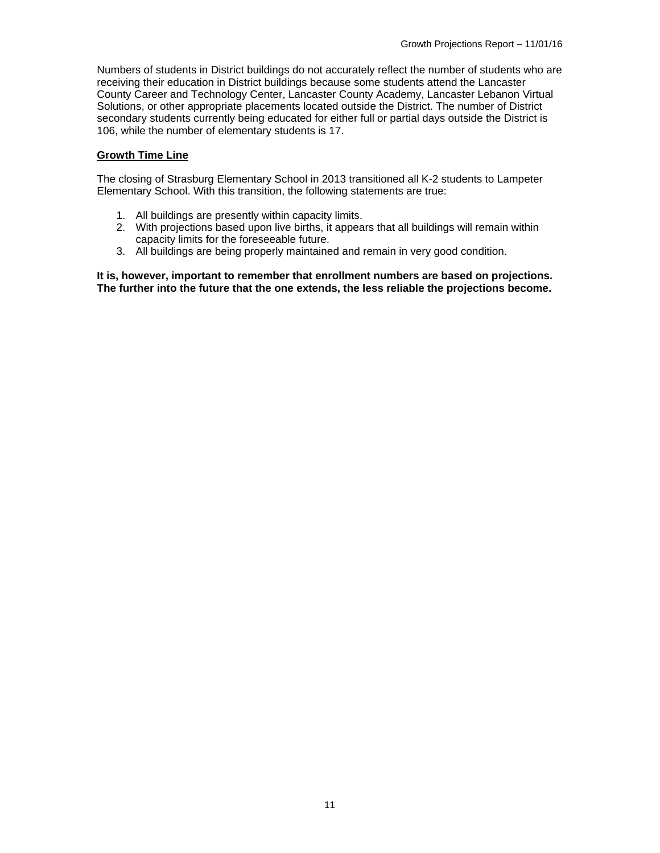Numbers of students in District buildings do not accurately reflect the number of students who are receiving their education in District buildings because some students attend the Lancaster County Career and Technology Center, Lancaster County Academy, Lancaster Lebanon Virtual Solutions, or other appropriate placements located outside the District. The number of District secondary students currently being educated for either full or partial days outside the District is 106, while the number of elementary students is 17.

### **Growth Time Line**

The closing of Strasburg Elementary School in 2013 transitioned all K-2 students to Lampeter Elementary School. With this transition, the following statements are true:

- 1. All buildings are presently within capacity limits.
- 2. With projections based upon live births, it appears that all buildings will remain within capacity limits for the foreseeable future.
- 3. All buildings are being properly maintained and remain in very good condition.

**It is, however, important to remember that enrollment numbers are based on projections. The further into the future that the one extends, the less reliable the projections become.**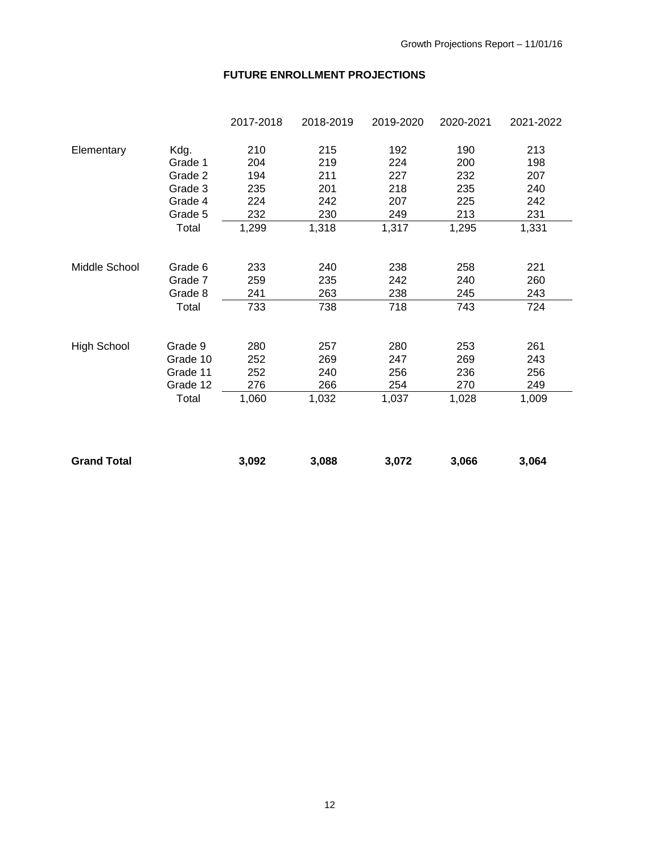# **FUTURE ENROLLMENT PROJECTIONS**

|                    |          | 2017-2018 | 2018-2019 | 2019-2020 | 2020-2021 | 2021-2022 |
|--------------------|----------|-----------|-----------|-----------|-----------|-----------|
| Elementary         | Kdg.     | 210       | 215       | 192       | 190       | 213       |
|                    | Grade 1  | 204       | 219       | 224       | 200       | 198       |
|                    | Grade 2  | 194       | 211       | 227       | 232       | 207       |
|                    | Grade 3  | 235       | 201       | 218       | 235       | 240       |
|                    | Grade 4  | 224       | 242       | 207       | 225       | 242       |
|                    | Grade 5  | 232       | 230       | 249       | 213       | 231       |
|                    | Total    | 1,299     | 1,318     | 1,317     | 1,295     | 1,331     |
| Middle School      | Grade 6  | 233       | 240       | 238       | 258       | 221       |
|                    | Grade 7  | 259       | 235       | 242       | 240       | 260       |
|                    | Grade 8  | 241       | 263       | 238       | 245       | 243       |
|                    | Total    | 733       | 738       | 718       | 743       | 724       |
| <b>High School</b> | Grade 9  | 280       | 257       | 280       | 253       | 261       |
|                    | Grade 10 | 252       | 269       | 247       | 269       | 243       |
|                    | Grade 11 | 252       | 240       | 256       | 236       | 256       |
|                    | Grade 12 | 276       | 266       | 254       | 270       | 249       |
|                    |          |           | 1,032     | 1,037     | 1,028     | 1,009     |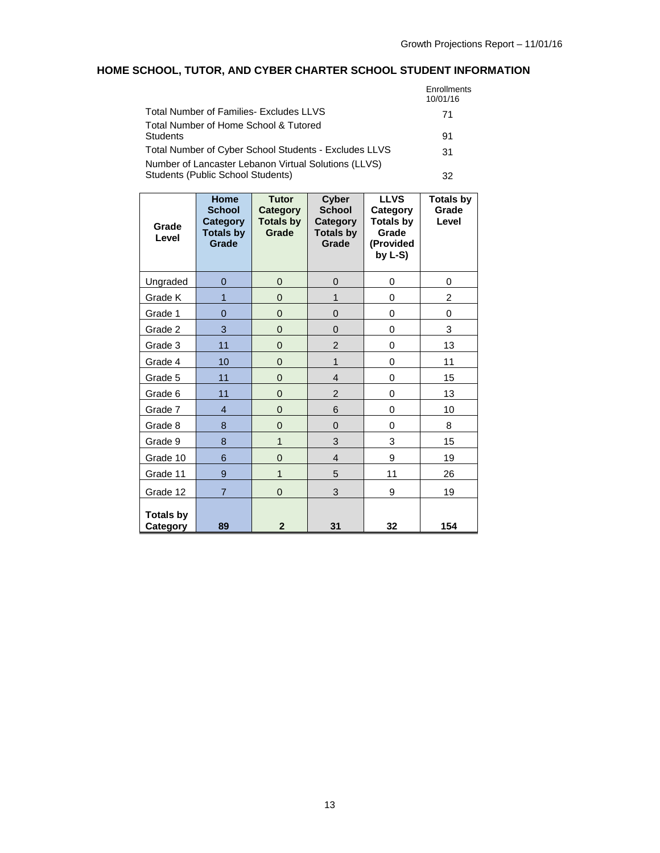# **HOME SCHOOL, TUTOR, AND CYBER CHARTER SCHOOL STUDENT INFORMATION**

|                                                       | Enrollments<br>10/01/16 |
|-------------------------------------------------------|-------------------------|
| Total Number of Families- Excludes LLVS               | 71                      |
| Total Number of Home School & Tutored                 |                         |
| Students                                              | 91                      |
| Total Number of Cyber School Students - Excludes LLVS | 31                      |
| Number of Lancaster Lebanon Virtual Solutions (LLVS)  |                         |
| Students (Public School Students)                     | 32                      |

| Grade<br>Level               | <b>Home</b><br><b>School</b><br><b>Category</b><br><b>Totals by</b><br>Grade | <b>Tutor</b><br><b>Category</b><br><b>Totals by</b><br>Grade | <b>Cyber</b><br><b>School</b><br>Category<br><b>Totals by</b><br>Grade | <b>LLVS</b><br>Category<br><b>Totals by</b><br>Grade<br>(Provided<br>by $L-S$ ) | <b>Totals by</b><br>Grade<br>Level |
|------------------------------|------------------------------------------------------------------------------|--------------------------------------------------------------|------------------------------------------------------------------------|---------------------------------------------------------------------------------|------------------------------------|
| Ungraded                     | $\overline{0}$                                                               | $\overline{0}$                                               | 0                                                                      | 0                                                                               | 0                                  |
| Grade K                      | 1                                                                            | $\overline{0}$                                               | 1                                                                      | 0                                                                               | $\overline{c}$                     |
| Grade 1                      | $\overline{0}$                                                               | $\overline{0}$                                               | $\overline{0}$                                                         | 0                                                                               | 0                                  |
| Grade 2                      | 3                                                                            | $\overline{0}$                                               | $\overline{0}$                                                         | 0                                                                               | 3                                  |
| Grade 3                      | 11                                                                           | $\overline{0}$                                               | $\overline{2}$                                                         | 0                                                                               | 13                                 |
| Grade 4                      | 10                                                                           | $\overline{0}$                                               | 1                                                                      | 0                                                                               | 11                                 |
| Grade 5                      | 11                                                                           | $\Omega$                                                     | $\overline{4}$                                                         | 0                                                                               | 15                                 |
| Grade 6                      | 11                                                                           | $\overline{0}$                                               | $\overline{2}$                                                         | 0                                                                               | 13                                 |
| Grade 7                      | $\overline{4}$                                                               | $\overline{0}$                                               | 6                                                                      | 0                                                                               | 10                                 |
| Grade 8                      | 8                                                                            | 0                                                            | 0                                                                      | 0                                                                               | 8                                  |
| Grade 9                      | 8                                                                            | 1                                                            | 3                                                                      | 3                                                                               | 15                                 |
| Grade 10                     | 6                                                                            | $\overline{0}$                                               | $\overline{4}$                                                         | 9                                                                               | 19                                 |
| Grade 11                     | 9                                                                            | 1                                                            | 5                                                                      | 11                                                                              | 26                                 |
| Grade 12                     | $\overline{7}$                                                               | $\mathbf 0$                                                  | 3                                                                      | 9                                                                               | 19                                 |
| <b>Totals by</b><br>Category | 89                                                                           | $\overline{2}$                                               | 31                                                                     | 32                                                                              | 154                                |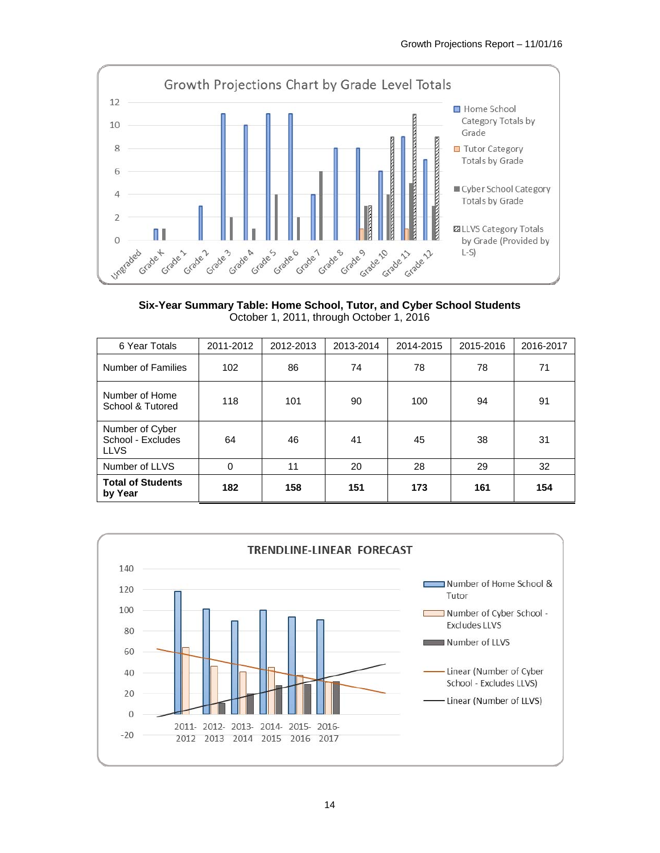

**Six-Year Summary Table: Home School, Tutor, and Cyber School Students**  October 1, 2011, through October 1, 2016

| 6 Year Totals                                       | 2011-2012 | 2012-2013 | 2013-2014 | 2014-2015 | 2015-2016 | 2016-2017 |
|-----------------------------------------------------|-----------|-----------|-----------|-----------|-----------|-----------|
| Number of Families                                  | 102       | 86        | 74        | 78        | 78        | 71        |
| Number of Home<br>School & Tutored                  | 118       | 101       | 90        | 100       | 94        | 91        |
| Number of Cyber<br>School - Excludes<br><b>LLVS</b> | 64        | 46        | 41        | 45        | 38        | 31        |
| Number of LLVS                                      | 0         | 11        | 20        | 28        | 29        | 32        |
| <b>Total of Students</b><br>by Year                 | 182       | 158       | 151       | 173       | 161       | 154       |

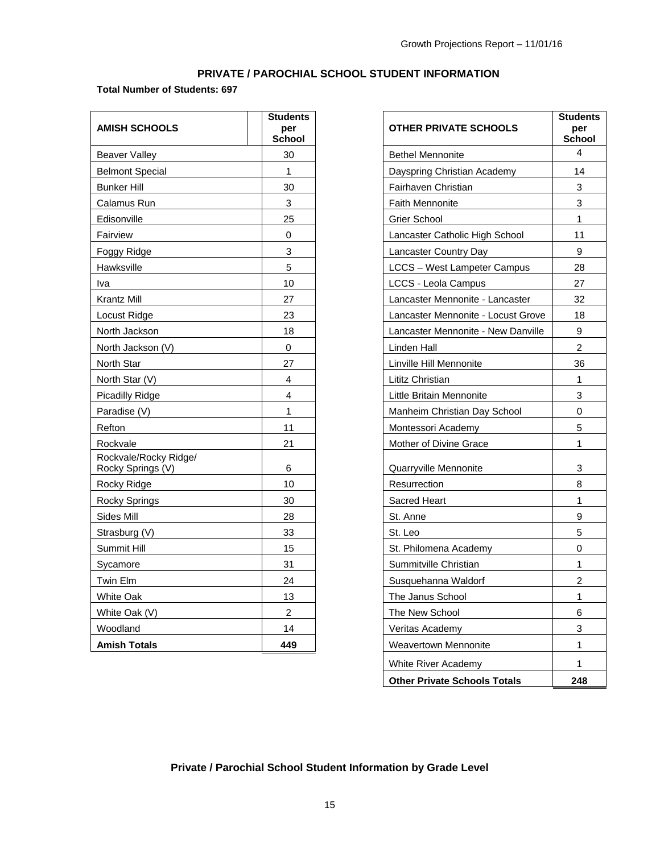## **PRIVATE / PAROCHIAL SCHOOL STUDENT INFORMATION**

### **Total Number of Students: 697**

| <b>AMISH SCHOOLS</b>                       | <b>Students</b><br>per<br><b>School</b> | <b>OTHER PRIVATE SCHOOLS</b>       | Stude<br>per<br><b>Scho</b> |
|--------------------------------------------|-----------------------------------------|------------------------------------|-----------------------------|
| <b>Beaver Valley</b>                       | 30                                      | <b>Bethel Mennonite</b>            | 4                           |
| <b>Belmont Special</b>                     | $\mathbf{1}$                            | Dayspring Christian Academy        | 14                          |
| <b>Bunker Hill</b>                         | 30                                      | Fairhaven Christian                | 3                           |
| Calamus Run                                | $\mathbf{3}$                            | <b>Faith Mennonite</b>             | 3                           |
| Edisonville                                | 25                                      | <b>Grier School</b>                | $\mathbf{1}$                |
| Fairview                                   | $\Omega$                                | Lancaster Catholic High School     | 11                          |
| Foggy Ridge                                | 3                                       | Lancaster Country Day              | 9                           |
| Hawksville                                 | 5                                       | <b>LCCS</b> - West Lampeter Campus | 28                          |
| Iva                                        | 10                                      | <b>LCCS - Leola Campus</b>         | 27                          |
| Krantz Mill                                | 27                                      | Lancaster Mennonite - Lancaster    | 32                          |
| Locust Ridge                               | 23                                      | Lancaster Mennonite - Locust Grove | 18                          |
| North Jackson                              | 18                                      | Lancaster Mennonite - New Danville | 9                           |
| North Jackson (V)                          | $\mathbf 0$                             | Linden Hall                        | $\overline{2}$              |
| North Star                                 | 27                                      | Linville Hill Mennonite            | 36                          |
| North Star (V)                             | 4                                       | Lititz Christian                   | $\mathbf{1}$                |
| <b>Picadilly Ridge</b>                     | 4                                       | Little Britain Mennonite           | 3                           |
| Paradise (V)                               | $\mathbf{1}$                            | Manheim Christian Day School       | 0                           |
| Refton                                     | 11                                      | Montessori Academy                 | 5                           |
| Rockvale                                   | 21                                      | Mother of Divine Grace             | $\mathbf{1}$                |
| Rockvale/Rocky Ridge/<br>Rocky Springs (V) | 6                                       | Quarryville Mennonite              | 3                           |
| Rocky Ridge                                | 10                                      | Resurrection                       | 8                           |
| <b>Rocky Springs</b>                       | 30                                      | <b>Sacred Heart</b>                | $\mathbf{1}$                |
| Sides Mill                                 | 28                                      | St. Anne                           | 9                           |
| Strasburg (V)                              | 33                                      | St. Leo                            | 5                           |
| Summit Hill                                | 15                                      | St. Philomena Academy              | 0                           |
| Sycamore                                   | 31                                      | Summitville Christian              | $\mathbf{1}$                |
| Twin Elm                                   | 24                                      | Susquehanna Waldorf                | $\overline{a}$              |
| <b>White Oak</b>                           | 13                                      | The Janus School                   | $\mathbf{1}$                |
| White Oak (V)                              | $\overline{2}$                          | The New School                     | 6                           |
| Woodland                                   | 14                                      | Veritas Academy                    | 3                           |
| <b>Amish Totals</b>                        | 449                                     | <b>Weavertown Mennonite</b>        | $\mathbf 1$                 |

| <b>OTHER PRIVATE SCHOOLS</b>        | <b>Students</b><br>per<br><b>School</b> |
|-------------------------------------|-----------------------------------------|
| <b>Bethel Mennonite</b>             | 4                                       |
| Dayspring Christian Academy         | 14                                      |
| Fairhaven Christian                 | 3                                       |
| <b>Faith Mennonite</b>              | 3                                       |
| Grier School                        | 1                                       |
| Lancaster Catholic High School      | 11                                      |
| Lancaster Country Day               | 9                                       |
| <b>LCCS</b> - West Lampeter Campus  | 28                                      |
| <b>LCCS - Leola Campus</b>          | 27                                      |
| Lancaster Mennonite - Lancaster     | 32                                      |
| Lancaster Mennonite - Locust Grove  | 18                                      |
| Lancaster Mennonite - New Danville  | 9                                       |
| Linden Hall                         | 2                                       |
| Linville Hill Mennonite             | 36                                      |
| Lititz Christian                    | 1                                       |
| Little Britain Mennonite            | 3                                       |
| Manheim Christian Day School        | 0                                       |
| Montessori Academy                  | 5                                       |
| Mother of Divine Grace              | 1                                       |
| Quarryville Mennonite               | 3                                       |
| Resurrection                        | 8                                       |
| <b>Sacred Heart</b>                 | 1                                       |
| St. Anne                            | 9                                       |
| St. Leo                             | 5                                       |
| St. Philomena Academy               | 0                                       |
| Summitville Christian               | 1                                       |
| Susquehanna Waldorf                 | 2                                       |
| The Janus School                    | 1                                       |
| The New School                      | 6                                       |
| Veritas Academy                     | 3                                       |
| <b>Weavertown Mennonite</b>         | 1                                       |
| White River Academy                 | 1                                       |
| <b>Other Private Schools Totals</b> | 248                                     |

## **Private / Parochial School Student Information by Grade Level**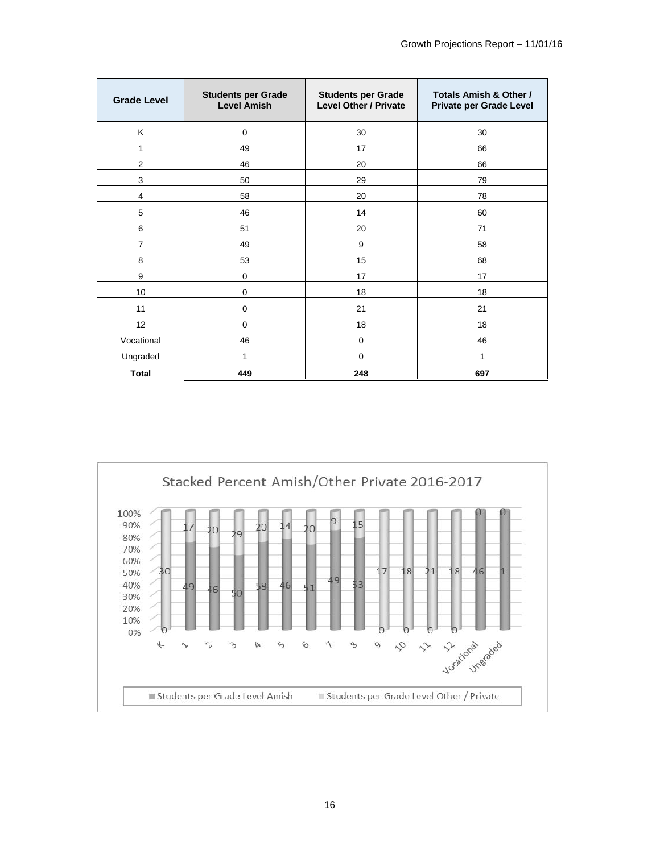| <b>Grade Level</b> | <b>Students per Grade</b><br><b>Level Amish</b> | <b>Students per Grade</b><br><b>Level Other / Private</b> | Totals Amish & Other /<br>Private per Grade Level |
|--------------------|-------------------------------------------------|-----------------------------------------------------------|---------------------------------------------------|
| Κ                  | $\mathbf 0$                                     | 30                                                        | 30                                                |
| 1                  | 49                                              | 17                                                        | 66                                                |
| $\overline{2}$     | 46                                              | 20                                                        | 66                                                |
| 3                  | 50                                              | 29                                                        | 79                                                |
| 4                  | 58                                              | 20                                                        | 78                                                |
| 5                  | 46                                              | 14                                                        | 60                                                |
| 6                  | 51                                              | 20                                                        | 71                                                |
| $\overline{7}$     | 49                                              | 9                                                         | 58                                                |
| 8                  | 53                                              | 15                                                        | 68                                                |
| 9                  | $\mathbf 0$                                     | 17                                                        | 17                                                |
| 10                 | $\mathbf 0$                                     | 18                                                        | 18                                                |
| 11                 | $\mathbf 0$                                     | 21                                                        | 21                                                |
| 12                 | $\mathbf 0$                                     | 18                                                        | 18                                                |
| Vocational         | 46                                              | $\mathbf 0$                                               | 46                                                |
| Ungraded           | 1                                               | $\Omega$                                                  | 1                                                 |
| Total              | 449                                             | 248                                                       | 697                                               |

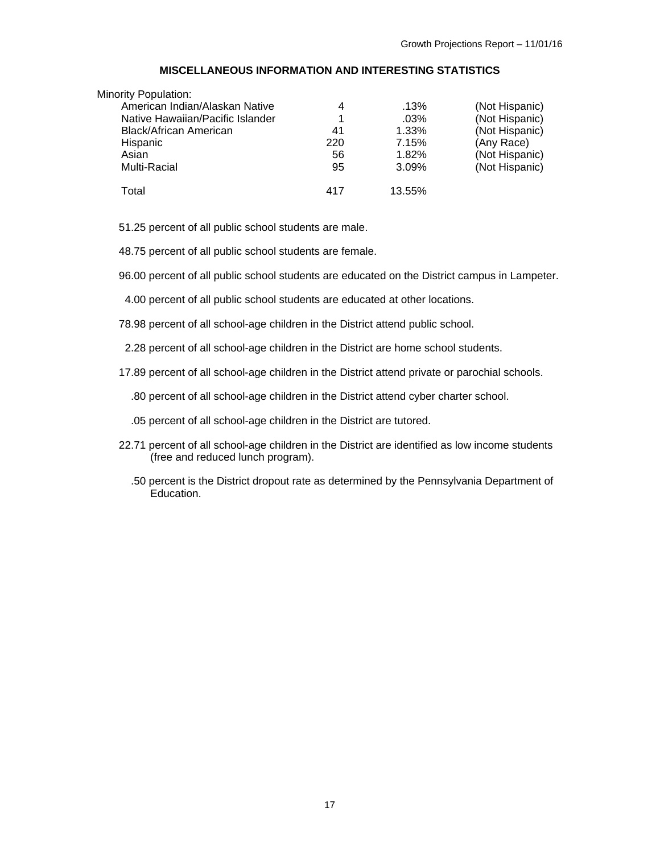#### **MISCELLANEOUS INFORMATION AND INTERESTING STATISTICS**

| <b>Minority Population:</b>      |     |         |                |
|----------------------------------|-----|---------|----------------|
| American Indian/Alaskan Native   | 4   | .13%    | (Not Hispanic) |
| Native Hawaiian/Pacific Islander |     | $.03\%$ | (Not Hispanic) |
| Black/African American           | 41  | 1.33%   | (Not Hispanic) |
| Hispanic                         | 220 | 7.15%   | (Any Race)     |
| Asian                            | 56  | 1.82%   | (Not Hispanic) |
| Multi-Racial                     | 95  | 3.09%   | (Not Hispanic) |
| Total                            | 417 | 13.55%  |                |

51.25 percent of all public school students are male.

48.75 percent of all public school students are female.

96.00 percent of all public school students are educated on the District campus in Lampeter.

4.00 percent of all public school students are educated at other locations.

78.98 percent of all school-age children in the District attend public school.

2.28 percent of all school-age children in the District are home school students.

17.89 percent of all school-age children in the District attend private or parochial schools.

.80 percent of all school-age children in the District attend cyber charter school.

.05 percent of all school-age children in the District are tutored.

- 22.71 percent of all school-age children in the District are identified as low income students (free and reduced lunch program).
	- .50 percent is the District dropout rate as determined by the Pennsylvania Department of Education.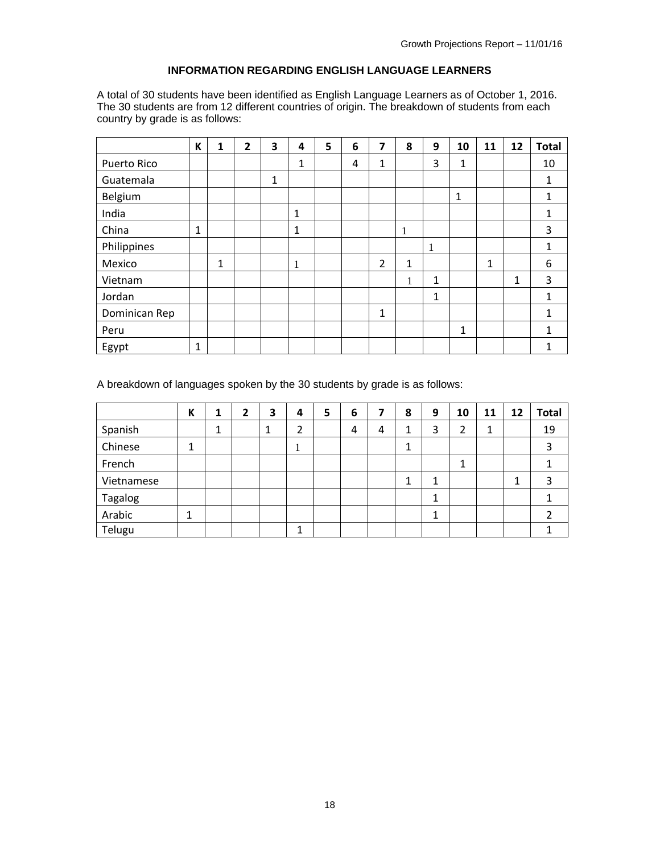### **INFORMATION REGARDING ENGLISH LANGUAGE LEARNERS**

A total of 30 students have been identified as English Language Learners as of October 1, 2016. The 30 students are from 12 different countries of origin. The breakdown of students from each country by grade is as follows:

|               | K            | 1 | $\overline{2}$ | 3 | 4            | 5 | 6 | 7            | 8 | 9 | 10           | 11 | 12 | <b>Total</b> |
|---------------|--------------|---|----------------|---|--------------|---|---|--------------|---|---|--------------|----|----|--------------|
| Puerto Rico   |              |   |                |   | 1            |   | 4 | 1            |   | 3 | 1            |    |    | 10           |
| Guatemala     |              |   |                | 1 |              |   |   |              |   |   |              |    |    | 1            |
| Belgium       |              |   |                |   |              |   |   |              |   |   | $\mathbf{1}$ |    |    | $\mathbf{1}$ |
| India         |              |   |                |   | $\mathbf{1}$ |   |   |              |   |   |              |    |    | 1            |
| China         | $\mathbf{1}$ |   |                |   | $\mathbf{1}$ |   |   |              | 1 |   |              |    |    | 3            |
| Philippines   |              |   |                |   |              |   |   |              |   | 1 |              |    |    | $\mathbf{1}$ |
| Mexico        |              | 1 |                |   | 1            |   |   | 2            | 1 |   |              | 1  |    | 6            |
| Vietnam       |              |   |                |   |              |   |   |              | 1 | 1 |              |    | 1  | 3            |
| Jordan        |              |   |                |   |              |   |   |              |   | 1 |              |    |    | $\mathbf{1}$ |
| Dominican Rep |              |   |                |   |              |   |   | $\mathbf{1}$ |   |   |              |    |    | $\mathbf{1}$ |
| Peru          |              |   |                |   |              |   |   |              |   |   | 1            |    |    | $\mathbf{1}$ |
| Egypt         | $\mathbf{1}$ |   |                |   |              |   |   |              |   |   |              |    |    | 1            |

A breakdown of languages spoken by the 30 students by grade is as follows:

|            | К      | 1 | 2 | 3 | 4 | 5 | 6 |   | 8 | 9      | 10 | 11 | 12 | <b>Total</b> |
|------------|--------|---|---|---|---|---|---|---|---|--------|----|----|----|--------------|
| Spanish    |        | 4 |   |   | 2 |   | 4 | 4 | 1 | 3      | 2  | 1  |    | 19           |
| Chinese    | 4<br>┸ |   |   |   |   |   |   |   | 1 |        |    |    |    | 3            |
| French     |        |   |   |   |   |   |   |   |   |        |    |    |    |              |
| Vietnamese |        |   |   |   |   |   |   |   | 1 | 1<br>┻ |    |    | ◢  | 3            |
| Tagalog    |        |   |   |   |   |   |   |   |   | 1      |    |    |    |              |
| Arabic     |        |   |   |   |   |   |   |   |   | ◢<br>┻ |    |    |    |              |
| Telugu     |        |   |   |   |   |   |   |   |   |        |    |    |    |              |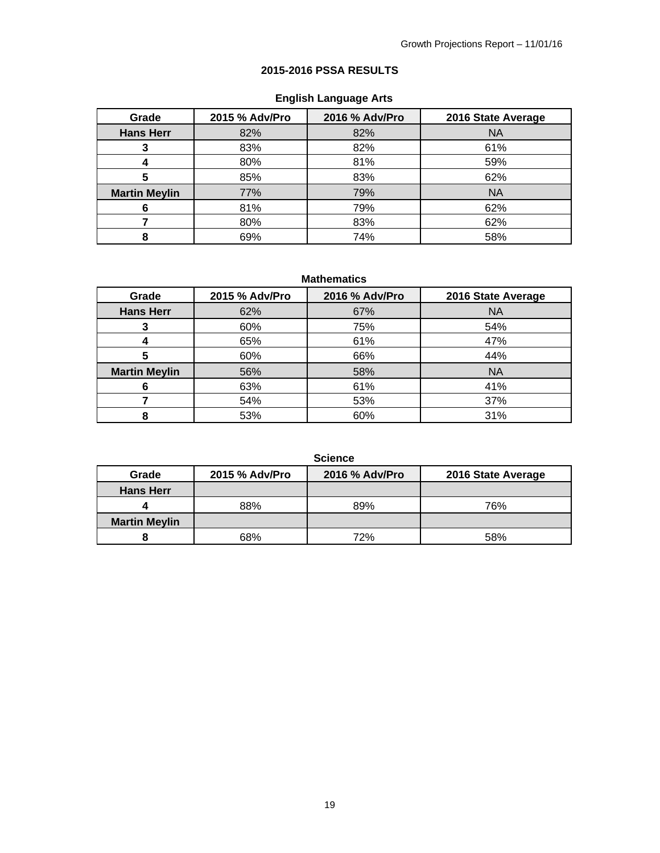## **2015-2016 PSSA RESULTS**

# **English Language Arts**

| Grade                | 2015 % Adv/Pro | 2016 % Adv/Pro | 2016 State Average |
|----------------------|----------------|----------------|--------------------|
| <b>Hans Herr</b>     | 82%            | 82%            | <b>NA</b>          |
|                      | 83%            | 82%            | 61%                |
|                      | 80%            | 81%            | 59%                |
| 5                    | 85%            | 83%            | 62%                |
| <b>Martin Meylin</b> | 77%            | 79%            | <b>NA</b>          |
| 6                    | 81%            | 79%            | 62%                |
|                      | 80%            | 83%            | 62%                |
| 8                    | 69%            | 74%            | 58%                |

**Mathematics** 

| Grade                | 2015 % Adv/Pro | 2016 % Adv/Pro | 2016 State Average |
|----------------------|----------------|----------------|--------------------|
| <b>Hans Herr</b>     | 62%            | 67%            | <b>NA</b>          |
|                      | 60%            | 75%            | 54%                |
|                      | 65%            | 61%            | 47%                |
| 5                    | 60%            | 66%            | 44%                |
| <b>Martin Meylin</b> | 56%            | 58%            | <b>NA</b>          |
| 6                    | 63%            | 61%            | 41%                |
|                      | 54%            | 53%            | 37%                |
| 8                    | 53%            | 60%            | 31%                |

**Science** 

| Grade                | 2015 % Adv/Pro | 2016 % Adv/Pro | 2016 State Average |
|----------------------|----------------|----------------|--------------------|
| <b>Hans Herr</b>     |                |                |                    |
|                      | 88%            | 89%            | 76%                |
| <b>Martin Meylin</b> |                |                |                    |
|                      | 68%            | 72%            | 58%                |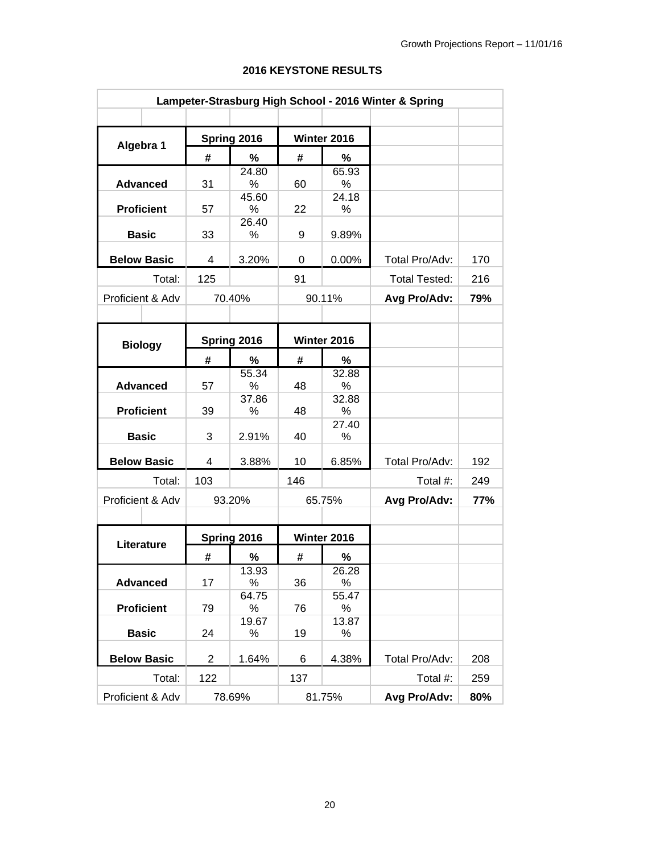| Lampeter-Strasburg High School - 2016 Winter & Spring |                    |                |             |     |             |                      |     |
|-------------------------------------------------------|--------------------|----------------|-------------|-----|-------------|----------------------|-----|
|                                                       |                    |                |             |     |             |                      |     |
| Algebra 1                                             |                    |                | Spring 2016 |     | Winter 2016 |                      |     |
|                                                       |                    | #              | %           | #   | %           |                      |     |
|                                                       |                    |                | 24.80       |     | 65.93       |                      |     |
|                                                       | <b>Advanced</b>    | 31             | $\%$        | 60  | ℅           |                      |     |
|                                                       | <b>Proficient</b>  |                | 45.60<br>%  |     | 24.18       |                      |     |
|                                                       |                    | 57             | 26.40       | 22  | %           |                      |     |
|                                                       | <b>Basic</b>       | 33             | %           | 9   | 9.89%       |                      |     |
|                                                       | <b>Below Basic</b> | 4              | 3.20%       | 0   | 0.00%       | Total Pro/Adv:       | 170 |
|                                                       |                    |                |             |     |             |                      |     |
|                                                       | Total:             | 125            |             | 91  |             | <b>Total Tested:</b> | 216 |
|                                                       | Proficient & Adv   |                | 70.40%      |     | 90.11%      | Avg Pro/Adv:         | 79% |
|                                                       |                    |                |             |     |             |                      |     |
|                                                       | <b>Biology</b>     |                | Spring 2016 |     | Winter 2016 |                      |     |
|                                                       |                    | #              | %           | #   | %           |                      |     |
|                                                       |                    |                | 55.34       |     | 32.88       |                      |     |
|                                                       | <b>Advanced</b>    | 57             | %           | 48  | %           |                      |     |
|                                                       |                    |                | 37.86       |     | 32.88       |                      |     |
|                                                       | <b>Proficient</b>  | 39             | %           | 48  | %<br>27.40  |                      |     |
|                                                       | <b>Basic</b>       | 3              | 2.91%       | 40  | %           |                      |     |
|                                                       |                    |                |             |     |             |                      |     |
|                                                       | <b>Below Basic</b> | 4              | 3.88%       | 10  | 6.85%       | Total Pro/Adv:       | 192 |
|                                                       | Total:             | 103            |             | 146 |             | Total #:             | 249 |
|                                                       | Proficient & Adv   |                | 93.20%      |     | 65.75%      | Avg Pro/Adv:         | 77% |
|                                                       |                    |                |             |     |             |                      |     |
|                                                       | Literature         |                | Spring 2016 |     | Winter 2016 |                      |     |
|                                                       |                    | #              | ℅           | #   | ℅           |                      |     |
|                                                       |                    |                | 13.93       |     | 26.28       |                      |     |
|                                                       | <b>Advanced</b>    | 17             | ℅           | 36  | %           |                      |     |
|                                                       |                    |                | 64.75       |     | 55.47       |                      |     |
|                                                       | <b>Proficient</b>  | 79             | ℅           | 76  | %           |                      |     |
|                                                       | <b>Basic</b>       | 24             | 19.67<br>%  | 19  | 13.87<br>℅  |                      |     |
|                                                       | <b>Below Basic</b> | $\overline{2}$ | 1.64%       | 6   | 4.38%       | Total Pro/Adv:       | 208 |
|                                                       |                    |                |             |     |             |                      |     |
|                                                       | Total:             | 122            |             | 137 |             | Total #:             | 259 |
|                                                       | Proficient & Adv   |                | 78.69%      |     | 81.75%      | Avg Pro/Adv:         | 80% |

### **2016 KEYSTONE RESULTS**